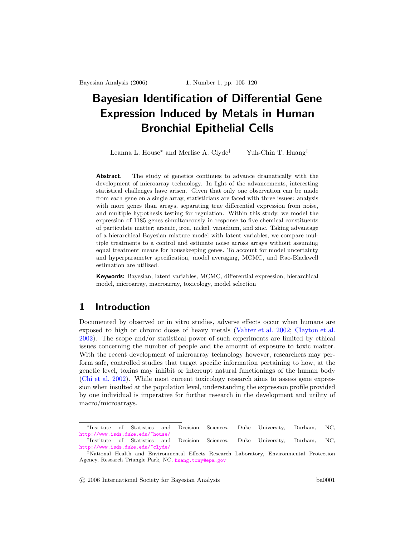# Bayesian Identification of Differential Gene Expression Induced by Metals in Human Bronchial Epithelial Cells

Leanna L. House<sup>∗</sup> and Merlise A. Clyde<sup>†</sup> Yuh-Chin T. Huang<sup>‡</sup>

Abstract. The study of genetics continues to advance dramatically with the development of microarray technology. In light of the advancements, interesting statistical challenges have arisen. Given that only one observation can be made from each gene on a single array, statisticians are faced with three issues: analysis with more genes than arrays, separating true differential expression from noise, and multiple hypothesis testing for regulation. Within this study, we model the expression of 1185 genes simultaneously in response to five chemical constituents of particulate matter; arsenic, iron, nickel, vanadium, and zinc. Taking advantage of a hierarchical Bayesian mixture model with latent variables, we compare multiple treatments to a control and estimate noise across arrays without assuming equal treatment means for housekeeping genes. To account for model uncertainty and hyperparameter specification, model averaging, MCMC, and Rao-Blackwell estimation are utilized.

Keywords: Bayesian, latent variables, MCMC, differential expression, hierarchical model, microarray, macroarray, toxicology, model selection

# 1 Introduction

Documented by observed or in vitro studies, adverse effects occur when humans are exposed to high or chronic doses of heavy metals (Vahter et al. 2002; Clayton et al. 2002). The scope and/or statistical power of such experiments are limited by ethical issues concerning the number of people and the amount of exposure to toxic matter. With the recent development of microarray technology however, researchers may perform safe, controlled studies that target specific information pertaining to how, at the genetic level, toxins may inhibit or interrupt natural functionings of the human body (Chi et al. 2002). While most current toxicology research aims to assess gene expression when insulted at the population level, understanding the expression profile provided by one individual is imperative for further research in the development and utility of macro/microarrays.

<sup>∗</sup> of Statistics and Decision Sciences, Duke University, Durham, NC, http://www.isds.duke.edu/~house.

<sup>†</sup> Institute of Statistics and Decision Sciences, Duke University, Durham, NC, <http://www.isds.duke.edu/~clyde/>

<sup>‡</sup>National Health and Environmental Effects Research Laboratory, Environmental Protection Agency, Research Triangle Park, NC, <huang.tony@epa.gov>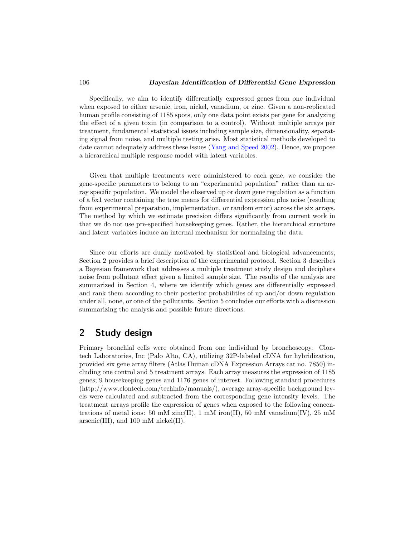#### 106 Bayesian Identification of Differential Gene Expression

Specifically, we aim to identify differentially expressed genes from one individual when exposed to either arsenic, iron, nickel, vanadium, or zinc. Given a non-replicated human profile consisting of 1185 spots, only one data point exists per gene for analyzing the effect of a given toxin (in comparison to a control). Without multiple arrays per treatment, fundamental statistical issues including sample size, dimensionality, separating signal from noise, and multiple testing arise. Most statistical methods developed to date cannot adequately address these issues (Yang and Speed 2002). Hence, we propose a hierarchical multiple response model with latent variables.

Given that multiple treatments were administered to each gene, we consider the gene-specific parameters to belong to an "experimental population" rather than an array specific population. We model the observed up or down gene regulation as a function of a 5x1 vector containing the true means for differential expression plus noise (resulting from experimental preparation, implementation, or random error) across the six arrays. The method by which we estimate precision differs significantly from current work in that we do not use pre-specified housekeeping genes. Rather, the hierarchical structure and latent variables induce an internal mechanism for normalizing the data.

Since our efforts are dually motivated by statistical and biological advancements, Section 2 provides a brief description of the experimental protocol. Section 3 describes a Bayesian framework that addresses a multiple treatment study design and deciphers noise from pollutant effect given a limited sample size. The results of the analysis are summarized in Section 4, where we identify which genes are differentially expressed and rank them according to their posterior probabilities of up and/or down regulation under all, none, or one of the pollutants. Section 5 concludes our efforts with a discussion summarizing the analysis and possible future directions.

# 2 Study design

Primary bronchial cells were obtained from one individual by bronchoscopy. Clontech Laboratories, Inc (Palo Alto, CA), utilizing 32P-labeled cDNA for hybridization, provided six gene array filters (Atlas Human cDNA Expression Arrays cat no. 7850) including one control and 5 treatment arrays. Each array measures the expression of 1185 genes; 9 housekeeping genes and 1176 genes of interest. Following standard procedures (http://www.clontech.com/techinfo/manuals/), average array-specific background levels were calculated and subtracted from the corresponding gene intensity levels. The treatment arrays profile the expression of genes when exposed to the following concentrations of metal ions: 50 mM zinc(II), 1 mM iron(II), 50 mM vanadium(IV), 25 mM arsenic(III), and 100 mM nickel(II).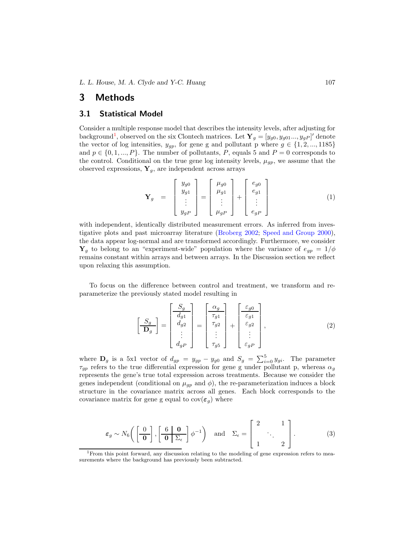# 3 Methods

### 3.1 Statistical Model

Consider a multiple response model that describes the intensity levels, after adjusting for background<sup>1</sup>, observed on the six Clontech matrices. Let  $\mathbf{Y}_g = [y_{g0}, y_{g01}..., y_{gP}]'$  denote the vector of log intensities,  $y_{gp}$ , for gene g and pollutant p where  $g \in \{1, 2, ..., 1185\}$ and  $p \in \{0, 1, ..., P\}$ . The number of pollutants, P, equals 5 and  $P = 0$  corresponds to the control. Conditional on the true gene log intensity levels,  $\mu_{gp}$ , we assume that the observed expressions,  $Y_q$ , are independent across arrays

$$
\mathbf{Y}_g = \begin{bmatrix} y_{g0} \\ y_{g1} \\ \vdots \\ y_{gP} \end{bmatrix} = \begin{bmatrix} \mu_{g0} \\ \mu_{g1} \\ \vdots \\ \mu_{gP} \end{bmatrix} + \begin{bmatrix} e_{g0} \\ e_{g1} \\ \vdots \\ e_{gP} \end{bmatrix}
$$
(1)

with independent, identically distributed measurement errors. As inferred from investigative plots and past microarray literature (Broberg 2002; Speed and Group 2000), the data appear log-normal and are transformed accordingly. Furthermore, we consider  $\mathbf{Y}_q$  to belong to an "experiment-wide" population where the variance of  $e_{qp} = 1/\phi$ remains constant within arrays and between arrays. In the Discussion section we reflect upon relaxing this assumption.

To focus on the difference between control and treatment, we transform and reparameterize the previously stated model resulting in

$$
\left[\begin{array}{c}S_g\\ \hline \mathbf{D}_g\end{array}\right] = \left[\begin{array}{c}S_g\\ d_{g1}\\ d_{g2}\\ \vdots\\ d_{gP}\end{array}\right] = \left[\begin{array}{c} \alpha_g\\ \tau_{g1}\\ \tau_{g2}\\ \vdots\\ \tau_{g5}\end{array}\right] + \left[\begin{array}{c}\varepsilon_{g0}\\ \varepsilon_{g1}\\ \varepsilon_{g2}\\ \vdots\\ \varepsilon_{gP}\end{array}\right],\tag{2}
$$

where  $\mathbf{D}_g$  is a 5x1 vector of  $d_{gp} = y_{gp} - y_{g0}$  and  $S_g = \sum_{i=0}^5 y_{gi}$ . The parameter  $\tau_{qp}$  refers to the true differential expression for gene g under pollutant p, whereas  $\alpha_g$ represents the gene's true total expression across treatments. Because we consider the genes independent (conditional on  $\mu_{gp}$  and  $\phi$ ), the re-parameterization induces a block structure in the covariance matrix across all genes. Each block corresponds to the covariance matrix for gene g equal to  $cov(\epsilon_q)$  where

$$
\varepsilon_g \sim N_6\left(\left[\frac{0}{\mathbf{0}}\right], \left[\frac{6}{\mathbf{0}}\right] \sum_{\epsilon} \right] \phi^{-1} \right) \quad \text{and} \quad \Sigma_{\epsilon} = \left[\begin{array}{ccc} 2 & 1 \\ & \ddots & \\ 1 & 2 \end{array}\right]. \tag{3}
$$

<sup>&</sup>lt;sup>1</sup> From this point forward, any discussion relating to the modeling of gene expression refers to measurements where the background has previously been subtracted.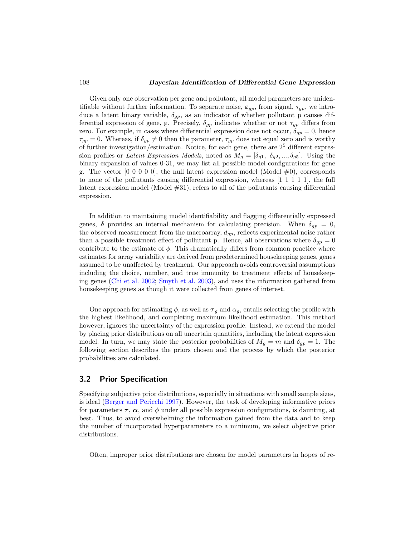#### 108 Bayesian Identification of Differential Gene Expression

Given only one observation per gene and pollutant, all model parameters are unidentifiable without further information. To separate noise,  $\varepsilon_{qp}$ , from signal,  $\tau_{qp}$ , we introduce a latent binary variable,  $\delta_{gp}$ , as an indicator of whether pollutant p causes differential expression of gene, g. Precisely,  $\delta_{gp}$  indicates whether or not  $\tau_{gp}$  differs from zero. For example, in cases where differential expression does not occur,  $\delta_{qp} = 0$ , hence  $\tau_{gp} = 0$ . Whereas, if  $\delta_{gp} \neq 0$  then the parameter,  $\tau_{gp}$  does not equal zero and is worthy of further investigation/estimation. Notice, for each gene, there are 2 <sup>5</sup> different expression profiles or Latent Expression Models, noted as  $M_g = [\delta_{g1}, \delta_{g2}, ..., \delta_{g5}]$ . Using the binary expansion of values 0-31, we may list all possible model configurations for gene g. The vector  $[0\ 0\ 0\ 0\ 0]$ , the null latent expression model (Model  $\#0$ ), corresponds to none of the pollutants causing differential expression, whereas [1 1 1 1 1], the full latent expression model (Model #31), refers to all of the pollutants causing differential expression.

In addition to maintaining model identifiability and flagging differentially expressed genes,  $\delta$  provides an internal mechanism for calculating precision. When  $\delta_{qn} = 0$ , the observed measurement from the macroarray,  $d_{gp}$ , reflects experimental noise rather than a possible treatment effect of pollutant p. Hence, all observations where  $\delta_{qp} = 0$ contribute to the estimate of  $\phi$ . This dramatically differs from common practice where estimates for array variability are derived from predetermined housekeeping genes, genes assumed to be unaffected by treatment. Our approach avoids controversial assumptions including the choice, number, and true immunity to treatment effects of housekeeping genes (Chi et al. 2002; Smyth et al. 2003), and uses the information gathered from housekeeping genes as though it were collected from genes of interest.

One approach for estimating  $\phi$ , as well as  $\tau_g$  and  $\alpha_g$ , entails selecting the profile with the highest likelihood, and completing maximum likelihood estimation. This method however, ignores the uncertainty of the expression profile. Instead, we extend the model by placing prior distributions on all uncertain quantities, including the latent expression model. In turn, we may state the posterior probabilities of  $M_g = m$  and  $\delta_{gp} = 1$ . The following section describes the priors chosen and the process by which the posterior probabilities are calculated.

#### 3.2 Prior Specification

Specifying subjective prior distributions, especially in situations with small sample sizes, is ideal (Berger and Pericchi 1997). However, the task of developing informative priors for parameters  $\tau$ ,  $\alpha$ , and  $\phi$  under all possible expression configurations, is daunting, at best. Thus, to avoid overwhelming the information gained from the data and to keep the number of incorporated hyperparameters to a minimum, we select objective prior distributions.

Often, improper prior distributions are chosen for model parameters in hopes of re-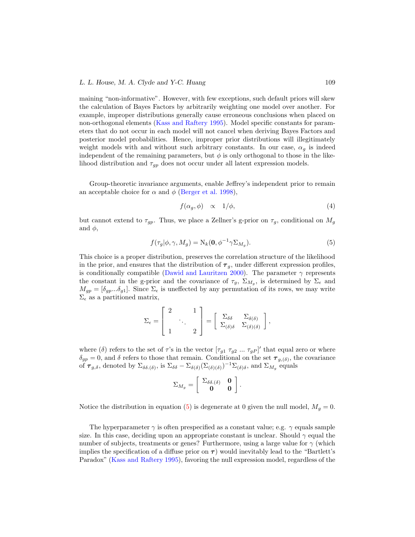#### L. L. House, M. A. Clyde and Y-C. Huang 109

maining "non-informative". However, with few exceptions, such default priors will skew the calculation of Bayes Factors by arbitrarily weighting one model over another. For example, improper distributions generally cause erroneous conclusions when placed on non-orthogonal elements (Kass and Raftery 1995). Model specific constants for parameters that do not occur in each model will not cancel when deriving Bayes Factors and posterior model probabilities. Hence, improper prior distributions will illegitimately weight models with and without such arbitrary constants. In our case,  $\alpha_q$  is indeed independent of the remaining parameters, but  $\phi$  is only orthogonal to those in the likelihood distribution and  $\tau_{qp}$  does not occur under all latent expression models.

Group-theoretic invariance arguments, enable Jeffrey's independent prior to remain an acceptable choice for  $\alpha$  and  $\phi$  (Berger et al. 1998),

$$
f(\alpha_g, \phi) \quad \propto \quad 1/\phi,\tag{4}
$$

but cannot extend to  $\tau_{qp}$ . Thus, we place a Zellner's g-prior on  $\tau_q$ , conditional on  $M_q$ and  $\phi$ ,

$$
f(\tau_g|\phi, \gamma, M_g) = N_k(\mathbf{0}, \phi^{-1}\gamma \Sigma_{M_g}).
$$
\n(5)

This choice is a proper distribution, preserves the correlation structure of the likelihood in the prior, and ensures that the distribution of  $\tau<sub>g</sub>$ , under different expression profiles, is conditionally compatible (Dawid and Lauritzen 2000). The parameter  $\gamma$  represents the constant in the g-prior and the covariance of  $\tau_g$ ,  $\Sigma_{M_g}$ , is determined by  $\Sigma_{\epsilon}$  and  $M_{gp} = [\delta_{gp}...\delta_{g}]$ . Since  $\Sigma_{\epsilon}$  is uneffected by any permutation of its rows, we may write  $\Sigma_{\epsilon}$  as a partitioned matrix,

$$
\Sigma_{\epsilon} = \left[ \begin{array}{ccc} 2 & 1 \\ & \ddots & \\ 1 & 2 \end{array} \right] = \left[ \begin{array}{cc} \Sigma_{\delta\delta} & \Sigma_{\delta(\delta)} \\ \Sigma_{(\delta)\delta} & \Sigma_{(\delta)(\delta)} \end{array} \right],
$$

where (δ) refers to the set of  $\tau$ 's in the vector  $[\tau_{g1} \tau_{g2} \dots \tau_{gP}]'$  that equal zero or where  $\delta_{gp} = 0$ , and  $\delta$  refers to those that remain. Conditional on the set  $\tau_{g,(\delta)}$ , the covariance of  $\tau_{g,\delta}$ , denoted by  $\Sigma_{\delta\delta,(\delta)}$ , is  $\Sigma_{\delta\delta} - \Sigma_{\delta(\delta)}(\Sigma_{(\delta)(\delta)})^{-1}\Sigma_{(\delta)\delta}$ , and  $\Sigma_{M_g}$  equals

$$
\Sigma_{M_g} = \left[ \begin{array}{cc} \Sigma_{\delta\delta.(\delta)} & \mathbf{0} \\ \mathbf{0} & \mathbf{0} \end{array} \right].
$$

Notice the distribution in equation (5) is degenerate at 0 given the null model,  $M_q = 0$ .

The hyperparameter  $\gamma$  is often prespecified as a constant value; e.g.  $\gamma$  equals sample size. In this case, deciding upon an appropriate constant is unclear. Should  $\gamma$  equal the number of subjects, treatments or genes? Furthermore, using a large value for  $\gamma$  (which implies the specification of a diffuse prior on  $\tau$ ) would inevitably lead to the "Bartlett's Paradox" (Kass and Raftery 1995), favoring the null expression model, regardless of the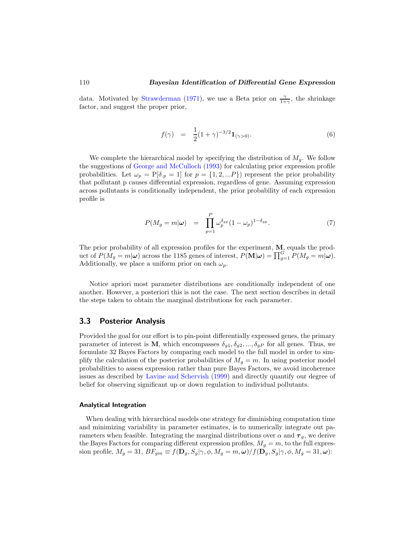data. Motivated by Strawderman (1971), we use a Beta prior on  $\frac{\gamma}{1+\gamma}$ , the shrinkage factor, and suggest the proper prior,

$$
f(\gamma) = \frac{1}{2}(1+\gamma)^{-3/2} \mathbf{1}_{(\gamma>0)}.
$$
 (6)

We complete the hierarchical model by specifying the distribution of  $M_q$ . We follow the suggestions of George and McCulloch (1993) for calculating prior expression profile probabilities. Let  $\omega_p = P[\delta_p = 1]$  for  $p = \{1, 2, ...P\}$  represent the prior probability that pollutant p causes differential expression, regardless of gene. Assuming expression across pollutants is conditionally independent, the prior probability of each expression profile is

$$
P(M_g = m | \boldsymbol{\omega}) = \prod_{p=1}^{P} \omega_p^{\delta_{gp}} (1 - \omega_p)^{1 - \delta_{gp}}.
$$
 (7)

The prior probability of all expression profiles for the experiment, M, equals the product of  $P(M_g = m | \omega)$  across the 1185 genes of interest,  $P(\mathbf{M} | \omega) = \prod_{g=1}^{G} P(M_g = m | \omega)$ . Additionally, we place a uniform prior on each  $\omega_p$ .

Notice apriori most parameter distributions are conditionally independent of one another. However, a posteriori this is not the case. The next section describes in detail the steps taken to obtain the marginal distributions for each parameter.

#### 3.3 Posterior Analysis

Provided the goal for our effort is to pin-point differentially expressed genes, the primary parameter of interest is M, which encompasses  $\delta_{q1}, \delta_{q2}, ..., \delta_{qP}$  for all genes. Thus, we formulate 32 Bayes Factors by comparing each model to the full model in order to simplify the calculation of the posterior probabilities of  $M<sub>q</sub> = m$ . In using posterior model probabilities to assess expression rather than pure Bayes Factors, we avoid incoherence issues as described by Lavine and Schervish (1999) and directly quantify our degree of belief for observing significant up or down regulation to individual pollutants.

#### Analytical Integration

When dealing with hierarchical models one strategy for diminishing computation time and minimizing variability in parameter estimates, is to numerically integrate out parameters when feasible. Integrating the marginal distributions over  $\alpha$  and  $\tau<sub>q</sub>$ , we derive the Bayes Factors for comparing different expression profiles,  $M_g = m$ , to the full expression profile,  $M_g = 31$ ,  $BF_{gm} \equiv f(\mathbf{D}_g, S_g | \gamma, \phi, M_g = m, \omega) / f(\mathbf{D}_g, S_g | \gamma, \phi, M_g = 31, \omega)$ :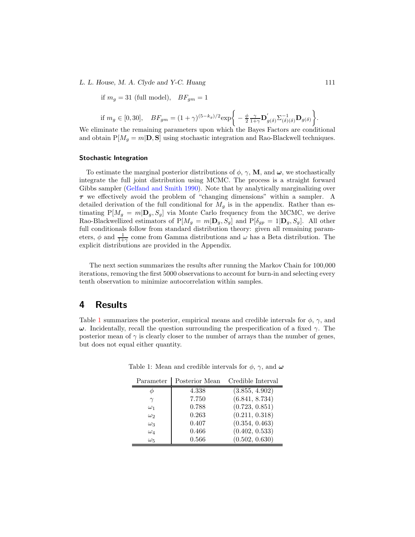L. L. House, M. A. Clyde and Y-C. Huang 111

if  $m_q = 31$  (full model),  $BF_{qm} = 1$ 

$$
\text{if } m_g \in [0, 30], \quad BF_{gm} = (1 + \gamma)^{(5 - k_g)/2} \exp \bigg\{ -\frac{\phi}{2} \frac{\gamma}{1 + \gamma} \mathbf{D}'_{g(\delta)} \Sigma^{-1}_{(\delta)(\delta)} \mathbf{D}_{g(\delta)} \bigg\}
$$

We eliminate the remaining parameters upon which the Bayes Factors are conditional and obtain  $P[M_q = m | \mathbf{D}, \mathbf{S}]$  using stochastic integration and Rao-Blackwell techniques.

#### Stochastic Integration

To estimate the marginal posterior distributions of  $\phi$ ,  $\gamma$ , **M**, and  $\omega$ , we stochastically integrate the full joint distribution using MCMC. The process is a straight forward Gibbs sampler (Gelfand and Smith 1990). Note that by analytically marginalizing over  $\tau$  we effectively avoid the problem of "changing dimensions" within a sampler. A detailed derivation of the full conditional for  $M<sub>q</sub>$  is in the appendix. Rather than estimating  $P[M_g = m | \mathbf{D}_g, S_g]$  via Monte Carlo frequency from the MCMC, we derive Rao-Blackwellized estimators of  $P[M_g = m | \mathbf{D}_g, S_g]$  and  $P[\delta_{gp} = 1 | \mathbf{D}_g, S_g]$ . All other full conditionals follow from standard distribution theory: given all remaining parameters,  $\phi$  and  $\frac{1}{1+\gamma}$  come from Gamma distributions and  $\omega$  has a Beta distribution. The explicit distributions are provided in the Appendix.

The next section summarizes the results after running the Markov Chain for 100,000 iterations, removing the first 5000 observations to account for burn-in and selecting every tenth observation to minimize autocorrelation within samples.

# 4 Results

Table 1 summarizes the posterior, empirical means and credible intervals for  $\phi$ ,  $\gamma$ , and  $ω$ . Incidentally, recall the question surrounding the prespecification of a fixed  $γ$ . The posterior mean of  $\gamma$  is clearly closer to the number of arrays than the number of genes, but does not equal either quantity.

| Parameter    | Posterior Mean | Credible Interval |
|--------------|----------------|-------------------|
|              | 4.338          | (3.855, 4.902)    |
| $\gamma$     | 7.750          | (6.841, 8.734)    |
| $\omega_1$   | 0.788          | (0.723, 0.851)    |
| $\omega_2$   | 0.263          | (0.211, 0.318)    |
| $\omega_3$   | 0.407          | (0.354, 0.463)    |
| $\omega_4$   | 0.466          | (0.402, 0.533)    |
| $\omega_{5}$ | 0.566          | (0.502, 0.630)    |

Table 1: Mean and credible intervals for  $\phi$ ,  $\gamma$ , and  $\omega$ 

.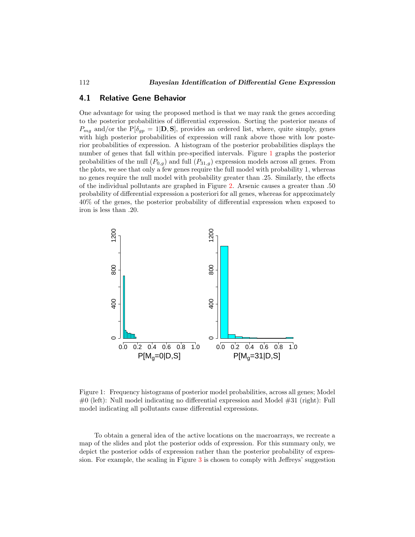#### 4.1 Relative Gene Behavior

One advantage for using the proposed method is that we may rank the genes according to the posterior probabilities of differential expression. Sorting the posterior means of  $P_{mg}$  and/or the P[ $\delta_{gp} = 1$ ]**D**, S], provides an ordered list, where, quite simply, genes with high posterior probabilities of expression will rank above those with low posterior probabilities of expression. A histogram of the posterior probabilities displays the number of genes that fall within pre-specified intervals. Figure 1 graphs the posterior probabilities of the null  $(P_{0,q})$  and full  $(P_{31,q})$  expression models across all genes. From the plots, we see that only a few genes require the full model with probability 1, whereas no genes require the null model with probability greater than .25. Similarly, the effects of the individual pollutants are graphed in Figure 2. Arsenic causes a greater than .50 probability of differential expression a posteriori for all genes, whereas for approximately 40% of the genes, the posterior probability of differential expression when exposed to iron is less than .20.



Figure 1: Frequency histograms of posterior model probabilities, across all genes; Model  $\#0$  (left): Null model indicating no differential expression and Model  $\#31$  (right): Full model indicating all pollutants cause differential expressions.

To obtain a general idea of the active locations on the macroarrays, we recreate a map of the slides and plot the posterior odds of expression. For this summary only, we depict the posterior odds of expression rather than the posterior probability of expression. For example, the scaling in Figure 3 is chosen to comply with Jeffreys' suggestion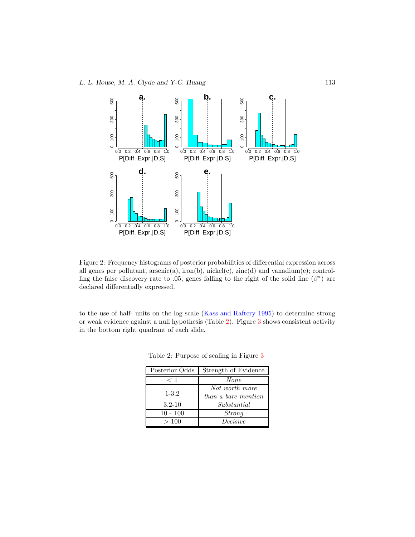

Figure 2: Frequency histograms of posterior probabilities of differential expression across all genes per pollutant,  $arsenic(a)$ ,  $iron(b)$ ,  $nickel(c)$ ,  $zinc(d)$  and  $vanadium(e)$ ; controlling the false discovery rate to .05, genes falling to the right of the solid line  $(\beta^*)$  are declared differentially expressed.

to the use of half- units on the log scale (Kass and Raftery 1995) to determine strong or weak evidence against a null hypothesis (Table 2). Figure 3 shows consistent activity in the bottom right quadrant of each slide.

| Posterior Odds | Strength of Evidence                  |
|----------------|---------------------------------------|
| $<\,1$         | None.                                 |
| $1 - 3.2$      | Not worth more<br>than a bare mention |
| $3.2 - 10$     | Substantial                           |
| $10 - 100$     | <b>Strong</b>                         |
| >100           | Decisive                              |

Table 2: Purpose of scaling in Figure 3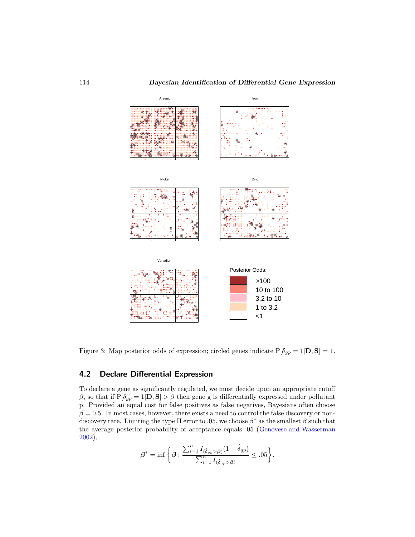

Figure 3: Map posterior odds of expression; circled genes indicate  $P[\delta_{gp} = 1 | D, S] = 1$ .

### 4.2 Declare Differential Expression

To declare a gene as significantly regulated, we must decide upon an appropriate cutoff β, so that if  $P[\delta_{gp} = 1 | D, S] > β$  then gene g is differentially expressed under pollutant p. Provided an equal cost for false positives as false negatives, Bayesians often choose  $\beta = 0.5$ . In most cases, however, there exists a need to control the false discovery or nondiscovery rate. Limiting the type II error to .05, we choose  $\beta^*$  as the smallest  $\beta$  such that the average posterior probability of acceptance equals .05 (Genovese and Wasserman 2002),

$$
\boldsymbol{\beta}^* = \inf \bigg\{ \boldsymbol{\beta} : \frac{\sum_{i=1}^n I_{(\hat{\delta}_{gp} > \boldsymbol{\beta})} (1 - \hat{\delta}_{gp})}{\sum_{i=1}^n I_{(\hat{\delta}_{gp} > \boldsymbol{\beta})}} \leq .05 \bigg\}.
$$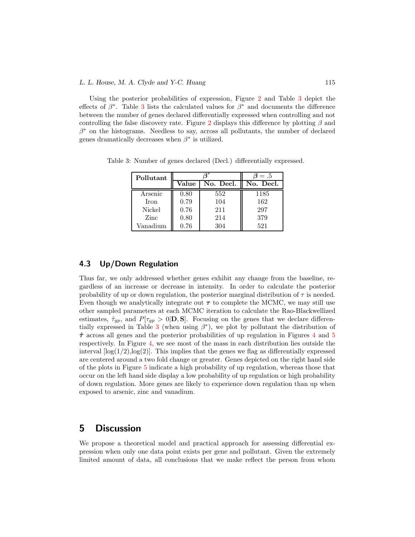Using the posterior probabilities of expression, Figure 2 and Table 3 depict the effects of  $\beta^*$ . Table 3 lists the calculated values for  $\beta^*$  and documents the difference between the number of genes declared differentially expressed when controlling and not controlling the false discovery rate. Figure 2 displays this difference by plotting  $\beta$  and  $\beta^*$  on the histograms. Needless to say, across all pollutants, the number of declared genes dramatically decreases when  $\beta^*$  is utilized.

| Pollutant   |       |           | $\beta = .5$ |
|-------------|-------|-----------|--------------|
|             | Value | No. Decl. | No. Decl.    |
| Arsenic     | 0.80  | 552       | 1185         |
| <b>Iron</b> | 0.79  | 104       | 162          |
| Nickel      | 0.76  | 211       | 297          |
| Zinc        | 0.80  | 214       | 379          |
| Vanadium    | 0.76  | 304       | 521          |

Table 3: Number of genes declared (Decl.) differentially expressed.

#### 4.3 Up/Down Regulation

Thus far, we only addressed whether genes exhibit any change from the baseline, regardless of an increase or decrease in intensity. In order to calculate the posterior probability of up or down regulation, the posterior marginal distribution of  $\tau$  is needed. Even though we analytically integrate out  $\tau$  to complete the MCMC, we may still use other sampled parameters at each MCMC iteration to calculate the Rao-Blackwellized estimates,  $\hat{\tau}_{gp}$ , and  $P[\tau_{gp} > 0 | \mathbf{D}, \mathbf{S}]$ . Focusing on the genes that we declare differentially expressed in Table 3 (when using  $\beta^*$ ), we plot by pollutant the distribution of  $\hat{\tau}$  across all genes and the posterior probabilities of up regulation in Figures 4 and 5 respectively. In Figure 4, we see most of the mass in each distribution lies outside the interval  $\log(1/2)$ ,  $\log(2)$ . This implies that the genes we flag as differentially expressed are centered around a two fold change or greater. Genes depicted on the right hand side of the plots in Figure 5 indicate a high probability of up regulation, whereas those that occur on the left hand side display a low probability of up regulation or high probability of down regulation. More genes are likely to experience down regulation than up when exposed to arsenic, zinc and vanadium.

# 5 Discussion

We propose a theoretical model and practical approach for assessing differential expression when only one data point exists per gene and pollutant. Given the extremely limited amount of data, all conclusions that we make reflect the person from whom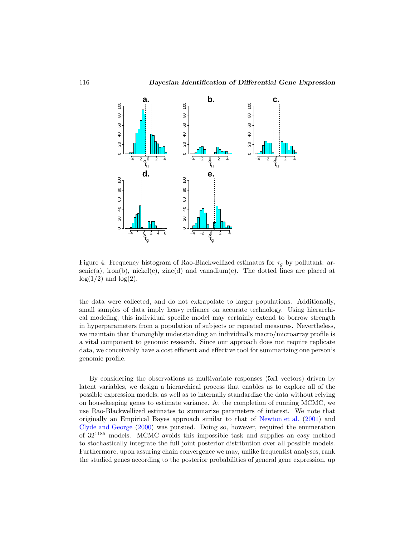

Figure 4: Frequency histogram of Rao-Blackwellized estimates for  $\tau_g$  by pollutant: ar $senic(a)$ , iron(b), nickel(c), zinc(d) and vanadium(e). The dotted lines are placed at  $log(1/2)$  and  $log(2)$ .

the data were collected, and do not extrapolate to larger populations. Additionally, small samples of data imply heavy reliance on accurate technology. Using hierarchical modeling, this individual specific model may certainly extend to borrow strength in hyperparameters from a population of subjects or repeated measures. Nevertheless, we maintain that thoroughly understanding an individual's macro/microarray profile is a vital component to genomic research. Since our approach does not require replicate data, we conceivably have a cost efficient and effective tool for summarizing one person's genomic profile.

By considering the observations as multivariate responses (5x1 vectors) driven by latent variables, we design a hierarchical process that enables us to explore all of the possible expression models, as well as to internally standardize the data without relying on housekeeping genes to estimate variance. At the completion of running MCMC, we use Rao-Blackwellized estimates to summarize parameters of interest. We note that originally an Empirical Bayes approach similar to that of Newton et al. (2001) and Clyde and George (2000) was pursued. Doing so, however, required the enumeration of  $32^{1185}$  models. MCMC avoids this impossible task and supplies an easy method to stochastically integrate the full joint posterior distribution over all possible models. Furthermore, upon assuring chain convergence we may, unlike frequentist analyses, rank the studied genes according to the posterior probabilities of general gene expression, up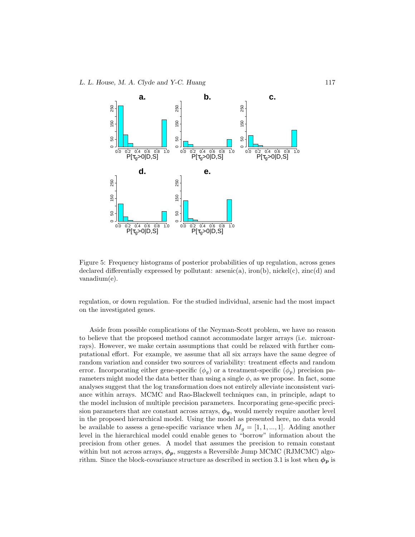

Figure 5: Frequency histograms of posterior probabilities of up regulation, across genes declared differentially expressed by pollutant:  $arsenic(a)$ ,  $iron(b)$ ,  $nickel(c)$ ,  $zinc(d)$  and vanadium(e).

regulation, or down regulation. For the studied individual, arsenic had the most impact on the investigated genes.

Aside from possible complications of the Neyman-Scott problem, we have no reason to believe that the proposed method cannot accommodate larger arrays (i.e. microarrays). However, we make certain assumptions that could be relaxed with further computational effort. For example, we assume that all six arrays have the same degree of random variation and consider two sources of variability: treatment effects and random error. Incorporating either gene-specific  $(\phi_g)$  or a treatment-specific  $(\phi_p)$  precision parameters might model the data better than using a single  $\phi$ , as we propose. In fact, some analyses suggest that the log transformation does not entirely alleviate inconsistent variance within arrays. MCMC and Rao-Blackwell techniques can, in principle, adapt to the model inclusion of multiple precision parameters. Incorporating gene-specific precision parameters that are constant across arrays,  $\phi_g$ , would merely require another level in the proposed hierarchical model. Using the model as presented here, no data would be available to assess a gene-specific variance when  $M_g = [1, 1, ..., 1]$ . Adding another level in the hierarchical model could enable genes to "borrow" information about the precision from other genes. A model that assumes the precision to remain constant within but not across arrays,  $\phi_p$ , suggests a Reversible Jump MCMC (RJMCMC) algorithm. Since the block-covariance structure as described in section 3.1 is lost when  $\phi_p$  is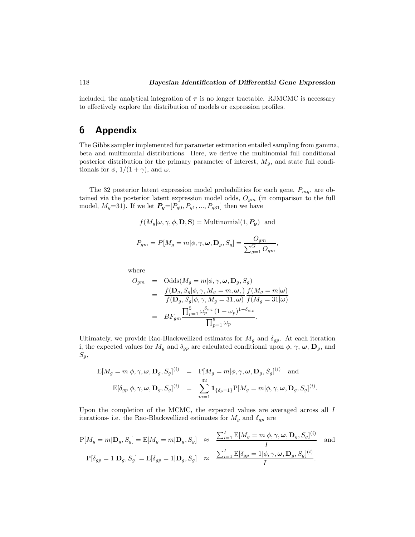included, the analytical integration of  $\tau$  is no longer tractable. RJMCMC is necessary to effectively explore the distribution of models or expression profiles.

# 6 Appendix

The Gibbs sampler implemented for parameter estimation entailed sampling from gamma, beta and multinomial distributions. Here, we derive the multinomial full conditional posterior distribution for the primary parameter of interest,  $M_g$ , and state full conditionals for  $\phi$ ,  $1/(1+\gamma)$ , and  $\omega$ .

The 32 posterior latent expression model probabilities for each gene,  $P_{mg}$ , are obtained via the posterior latent expression model odds,  $O_{gm}$  (in comparison to the full model,  $M_g$ =31). If we let  $P_g=[P_{g0}, P_{g1},..., P_{g31}]$  then we have

 $f(M_g|\omega, \gamma, \phi, \mathbf{D}, \mathbf{S}) = \text{Multinomial}(1, \mathbf{P_g})$  and

$$
P_{gm} = P[M_g = m | \phi, \gamma, \omega, \mathbf{D}_g, S_g] = \frac{O_{gm}}{\sum_{g=1}^{G} O_{gm}},
$$

where

$$
O_{gm} = \text{Odds}(M_g = m | \phi, \gamma, \omega, \mathbf{D}_g, S_g)
$$
  
= 
$$
\frac{f(\mathbf{D}_g, S_g | \phi, \gamma, M_g = m, \omega, )}{f(\mathbf{D}_g, S_g | \phi, \gamma, M_g = 31, \omega)} \frac{f(M_g = m | \omega)}{f(M_g = 31 | \omega)}
$$
  
= 
$$
BF_{gm} \frac{\prod_{p=1}^{5} \omega_p^{\delta_{mp}} (1 - \omega_p)^{1 - \delta_{mp}}}{\prod_{p=1}^{5} \omega_p}.
$$

Ultimately, we provide Rao-Blackwellized estimates for  $M_g$  and  $\delta_{gp}$ . At each iteration i, the expected values for  $M_g$  and  $\delta_{gp}$  are calculated conditional upon  $\phi$ ,  $\gamma$ ,  $\omega$ ,  $\mathbf{D}_g$ , and  $S_g$ ,

$$
\begin{array}{rcl}\n\mathbf{E}[M_g=m|\phi,\gamma,\omega,\mathbf{D}_g,S_g]^{(i)} &=& \mathbf{P}[M_g=m|\phi,\gamma,\omega,\mathbf{D}_g,S_g]^{(i)} \quad \text{and} \\
\mathbf{E}[\delta_{gp}|\phi,\gamma,\omega,\mathbf{D}_g,S_g]^{(i)} &=& \sum_{m=1}^{32} \mathbf{1}_{\{\delta_p=1\}} \mathbf{P}[M_g=m|\phi,\gamma,\omega,\mathbf{D}_g,S_g]^{(i)}.\n\end{array}
$$

Upon the completion of the MCMC, the expected values are averaged across all I iterations- i.e. the Rao-Blackwellized estimates for  $M_g$  and  $\delta_{gp}$  are

$$
P[M_g = m | \mathbf{D}_g, S_g] = E[M_g = m | \mathbf{D}_g, S_g] \approx \frac{\sum_{i=1}^I E[M_g = m | \phi, \gamma, \omega, \mathbf{D}_g, S_g]^{(i)}}{I} \text{ and}
$$
  

$$
P[\delta_{gp} = 1 | \mathbf{D}_g, S_g] = E[\delta_{gp} = 1 | \mathbf{D}_g, S_g] \approx \frac{\sum_{i=1}^I E[\delta_{gp} = 1 | \phi, \gamma, \omega, \mathbf{D}_g, S_g]^{(i)}}{I}.
$$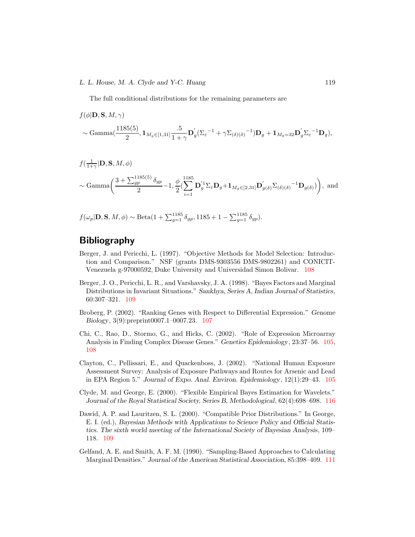#### L. L. House, M. A. Clyde and Y-C. Huang 119

The full conditional distributions for the remaining parameters are

$$
f(\phi|\mathbf{D}, \mathbf{S}, M, \gamma)
$$
  
 
$$
\sim \text{Gamma}\left(\frac{1185(5)}{2}, \mathbf{1}_{M_g \in [1,31]} \frac{.5}{1+\gamma} \mathbf{D}'_g(\Sigma_{\varepsilon}^{-1} + \gamma \Sigma_{(\delta)(\delta)}^{-1}) \mathbf{D}_g + \mathbf{1}_{M_g=32} \mathbf{D}'_g \Sigma_{\varepsilon}^{-1} \mathbf{D}_g\right),
$$

$$
f\left(\frac{1}{1+\gamma}|\mathbf{D},\mathbf{S},M,\phi\right)
$$
  
 
$$
\sim \text{Gamma}\left(\frac{3+\sum_{gp}^{1185(5)}\delta_{gp}}{2}-1,\frac{\phi}{2}\left(\sum_{i=1}^{1185}\mathbf{D}_{g}^{'1}\Sigma_{\varepsilon}\mathbf{D}_{g}+\mathbf{1}_{M_{g}\in[2,31]}\mathbf{D}_{g(\delta)}^{'}\Sigma_{(\delta)(\delta)}^{-1}\mathbf{D}_{g(\delta)}\right)\right), \text{ and}
$$

$$
f(\omega_p|\mathbf{D}, \mathbf{S}, M, \phi) \sim \text{Beta}(1 + \sum_{g=1}^{1185} \delta_{gp}, 1185 + 1 - \sum_{g=1}^{1185} \delta_{gp}).
$$

# Bibliography

- Berger, J. and Pericchi, L. (1997). "Objective Methods for Model Selection: Introduction and Comparison." NSF (grants DMS-9303556 DMS-9802261) and CONICIT-Venezuela g-97000592, Duke University and Universidad Simon Bolivar. 108
- Berger, J. O., Pericchi, L. R., and Varshavsky, J. A. (1998). "Bayes Factors and Marginal Distributions in Invariant Situations." Sankhya, Series A, Indian Journal of Statistics, 60:307–321. 109
- Broberg, P. (2002). "Ranking Genes with Respect to Differential Expression." Genome Biology, 3(9):preprint0007.1–0007.23. 107
- Chi, C., Rao, D., Stormo, G., and Hicks, C. (2002). "Role of Expression Microarray Analysis in Finding Complex Disease Genes." Genetics Epidemiology, 23:37–56. 105, 108
- Clayton, C., Pellissari, E., and Quackenboss, J. (2002). "National Human Exposure Assessment Survey: Analysis of Exposure Pathways and Routes for Arsenic and Lead in EPA Region 5." Journal of Expo. Anal. Environ. Epidemiology, 12(1):29–43. 105
- Clyde, M. and George, E. (2000). "Flexible Empirical Bayes Estimation for Wavelets." Journal of the Royal Statistical Society, Series B, Methodological, 62(4):698–698. 116
- Dawid, A. P. and Lauritzen, S. L. (2000). "Compatible Prior Distributions." In George, E. I. (ed.), Bayesian Methods with Applications to Science Policy and Official Statistics. The sixth world meeting of the International Society of Bayesian Analysis, 109– 118. 109
- Gelfand, A. E. and Smith, A. F. M. (1990). "Sampling-Based Approaches to Calculating Marginal Densities." Journal of the American Statistical Association, 85:398–409. 111